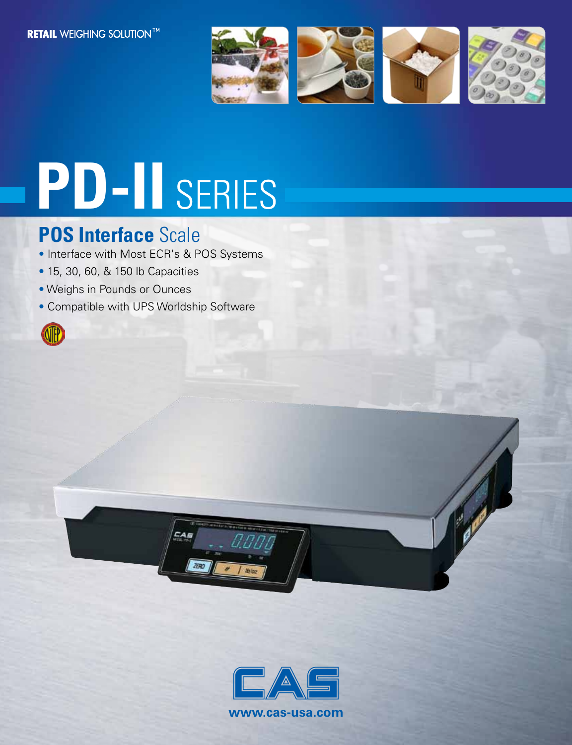

# **PD-II** SERIES

## **POS Interface** Scale

- Interface with Most ECR's & POS Systems
- 15, 30, 60, & 150 lb Capacities
- Weighs in Pounds or Ounces
- Compatible with UPS Worldship Software





ZERO

**www.cas-usa.com**